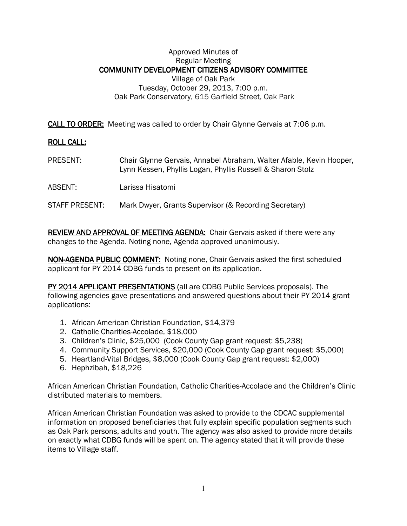## Approved Minutes of Regular Meeting COMMUNITY DEVELOPMENT CITIZENS ADVISORY COMMITTEE Village of Oak Park Tuesday, October 29, 2013, 7:00 p.m. Oak Park Conservatory, 615 Garfield Street, Oak Park

**CALL TO ORDER:** Meeting was called to order by Chair Glynne Gervais at 7:06 p.m.

## **ROLL CALL:**

- PRESENT: Chair Glynne Gervais, Annabel Abraham, Walter Afable, Kevin Hooper, Lynn Kessen, Phyllis Logan, Phyllis Russell & Sharon Stolz
- ABSENT: Larissa Hisatomi

## STAFF PRESENT: Mark Dwyer, Grants Supervisor (& Recording Secretary)

REVIEW AND APPROVAL OF MEETING AGENDA: Chair Gervais asked if there were any changes to the Agenda. Noting none, Agenda approved unanimously.

NON-AGENDA PUBLIC COMMENT: Noting none, Chair Gervais asked the first scheduled applicant for PY 2014 CDBG funds to present on its application.

PY 2014 APPLICANT PRESENTATIONS (all are CDBG Public Services proposals). The following agencies gave presentations and answered questions about their PY 2014 grant applications:

- 1. African American Christian Foundation, \$14,379
- 2. Catholic Charities-Accolade, \$18,000
- 3. Children's Clinic, \$25,000 (Cook County Gap grant request: \$5,238)
- 4. Community Support Services, \$20,000 (Cook County Gap grant request: \$5,000)
- 5. Heartland-Vital Bridges, \$8,000 (Cook County Gap grant request: \$2,000)
- 6. Hephzibah, \$18,226

African American Christian Foundation, Catholic Charities-Accolade and the Children's Clinic distributed materials to members.

African American Christian Foundation was asked to provide to the CDCAC supplemental information on proposed beneficiaries that fully explain specific population segments such as Oak Park persons, adults and youth. The agency was also asked to provide more details on exactly what CDBG funds will be spent on. The agency stated that it will provide these items to Village staff.